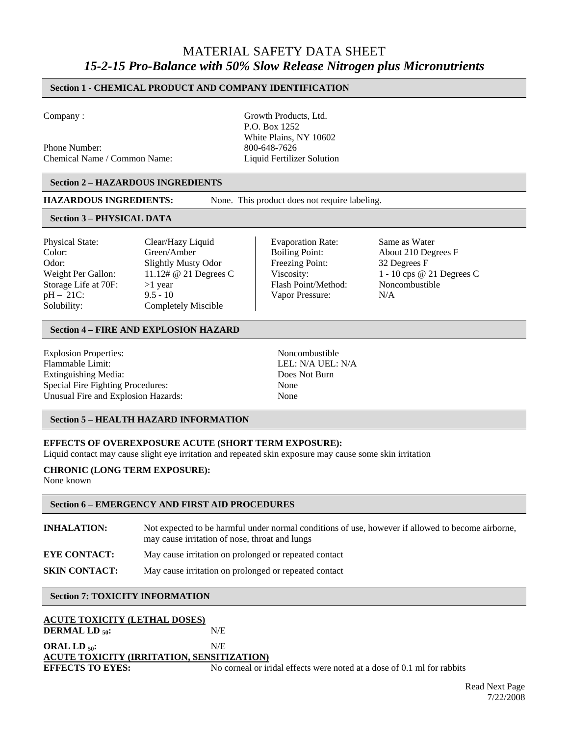# MATERIAL SAFETY DATA SHEET *15-2-15 Pro-Balance with 50% Slow Release Nitrogen plus Micronutrients*

# **Section 1 - CHEMICAL PRODUCT AND COMPANY IDENTIFICATION**

Phone Number: 800-648-7626 Chemical Name / Common Name: Liquid Fertilizer Solution

Company : Growth Products, Ltd. P.O. Box 1252 White Plains, NY 10602

#### **Section 2 – HAZARDOUS INGREDIENTS**

**HAZARDOUS INGREDIENTS:** None. This product does not require labeling.

#### **Section 3 – PHYSICAL DATA**

Physical State: Clear/Hazy Liquid Evaporation Rate: Same as Water Color: Green/Amber Boiling Point: About 210 Degrees F Odor: Slightly Musty Odor Freezing Point: 32 Degrees F Storage Life at 70F: > 1 year Flash Point/Method: Noncombustible pH – 21C: 9.5 - 10 Vapor Pressure: N/A Solubility: Completely Miscible

Weight Per Gallon: 11.12# @ 21 Degrees C Viscosity: 1 - 10 cps @ 21 Degrees C

#### **Section 4 – FIRE AND EXPLOSION HAZARD**

| <b>Explosion Properties:</b>        | Noncombustible    |
|-------------------------------------|-------------------|
| Flammable Limit:                    | LEL: N/A UEL: N/A |
| Extinguishing Media:                | Does Not Burn     |
| Special Fire Fighting Procedures:   | None              |
| Unusual Fire and Explosion Hazards: | None              |
|                                     |                   |

#### **Section 5 – HEALTH HAZARD INFORMATION**

#### **EFFECTS OF OVEREXPOSURE ACUTE (SHORT TERM EXPOSURE):**

Liquid contact may cause slight eye irritation and repeated skin exposure may cause some skin irritation

#### **CHRONIC (LONG TERM EXPOSURE):**

None known

#### **Section 6 – EMERGENCY AND FIRST AID PROCEDURES**

**INHALATION:** Not expected to be harmful under normal conditions of use, however if allowed to become airborne, may cause irritation of nose, throat and lungs **EYE CONTACT:** May cause irritation on prolonged or repeated contact **SKIN CONTACT:** May cause irritation on prolonged or repeated contact

#### **Section 7: TOXICITY INFORMATION**

| ACUTE TOXICITY (LETHAL DOSES)              |                                                                         |  |
|--------------------------------------------|-------------------------------------------------------------------------|--|
| <b>DERMAL LD 50:</b>                       | N/E                                                                     |  |
| ORAL LD 50:                                | N/E                                                                     |  |
| ACUTE TOXICITY (IRRITATION, SENSITIZATION) |                                                                         |  |
| <b>EFFECTS TO EYES:</b>                    | No corneal or iridal effects were noted at a dose of 0.1 ml for rabbits |  |